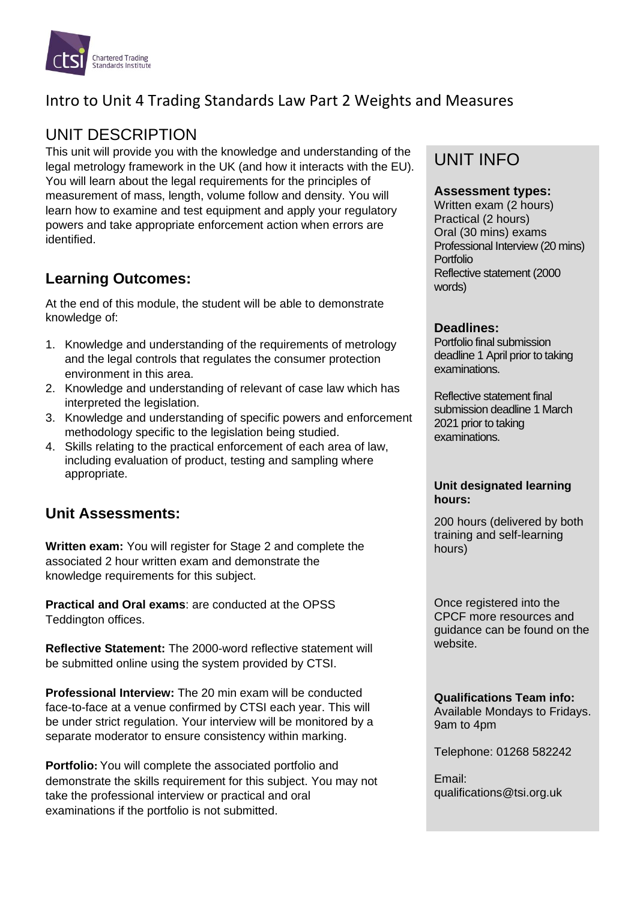

## Intro to Unit 4 Trading Standards Law Part 2 Weights and Measures

## UNIT DESCRIPTION

This unit will provide you with the knowledge and understanding of the legal metrology framework in the UK (and how it interacts with the EU). You will learn about the legal requirements for the principles of measurement of mass, length, volume follow and density. You will learn how to examine and test equipment and apply your regulatory powers and take appropriate enforcement action when errors are identified.

### **Learning Outcomes:**

At the end of this module, the student will be able to demonstrate knowledge of:

- 1. Knowledge and understanding of the requirements of metrology and the legal controls that regulates the consumer protection environment in this area.
- 2. Knowledge and understanding of relevant of case law which has interpreted the legislation.
- 3. Knowledge and understanding of specific powers and enforcement methodology specific to the legislation being studied.
- 4. Skills relating to the practical enforcement of each area of law, including evaluation of product, testing and sampling where appropriate.

### **Unit Assessments:**

**Written exam:** You will register for Stage 2 and complete the associated 2 hour written exam and demonstrate the knowledge requirements for this subject.

**Practical and Oral exams**: are conducted at the OPSS Teddington offices.

**Reflective Statement:** The 2000-word reflective statement will be submitted online using the system provided by CTSI.

**Professional Interview:** The 20 min exam will be conducted face-to-face at a venue confirmed by CTSI each year. This will be under strict regulation. Your interview will be monitored by a separate moderator to ensure consistency within marking.

**Portfolio:** You will complete the associated portfolio and demonstrate the skills requirement for this subject. You may not take the professional interview or practical and oral examinations if the portfolio is not submitted.

# UNIT INFO

#### **Assessment types:**

Written exam (2 hours) Practical (2 hours) Oral (30 mins) exams Professional Interview (20 mins) **Portfolio** Reflective statement (2000 words)

#### **Deadlines:**

Portfolio final submission deadline 1 April prior to taking examinations.

Reflective statement final submission deadline 1 March 2021 prior to taking examinations.

#### **Unit designated learning hours:**

200 hours (delivered by both training and self-learning hours)

Once registered into the CPCF more resources and guidance can be found on the website.

#### **Qualifications Team info:**

Available Mondays to Fridays. 9am to 4pm

Telephone: 01268 582242

Email: qualifications@tsi.org.uk